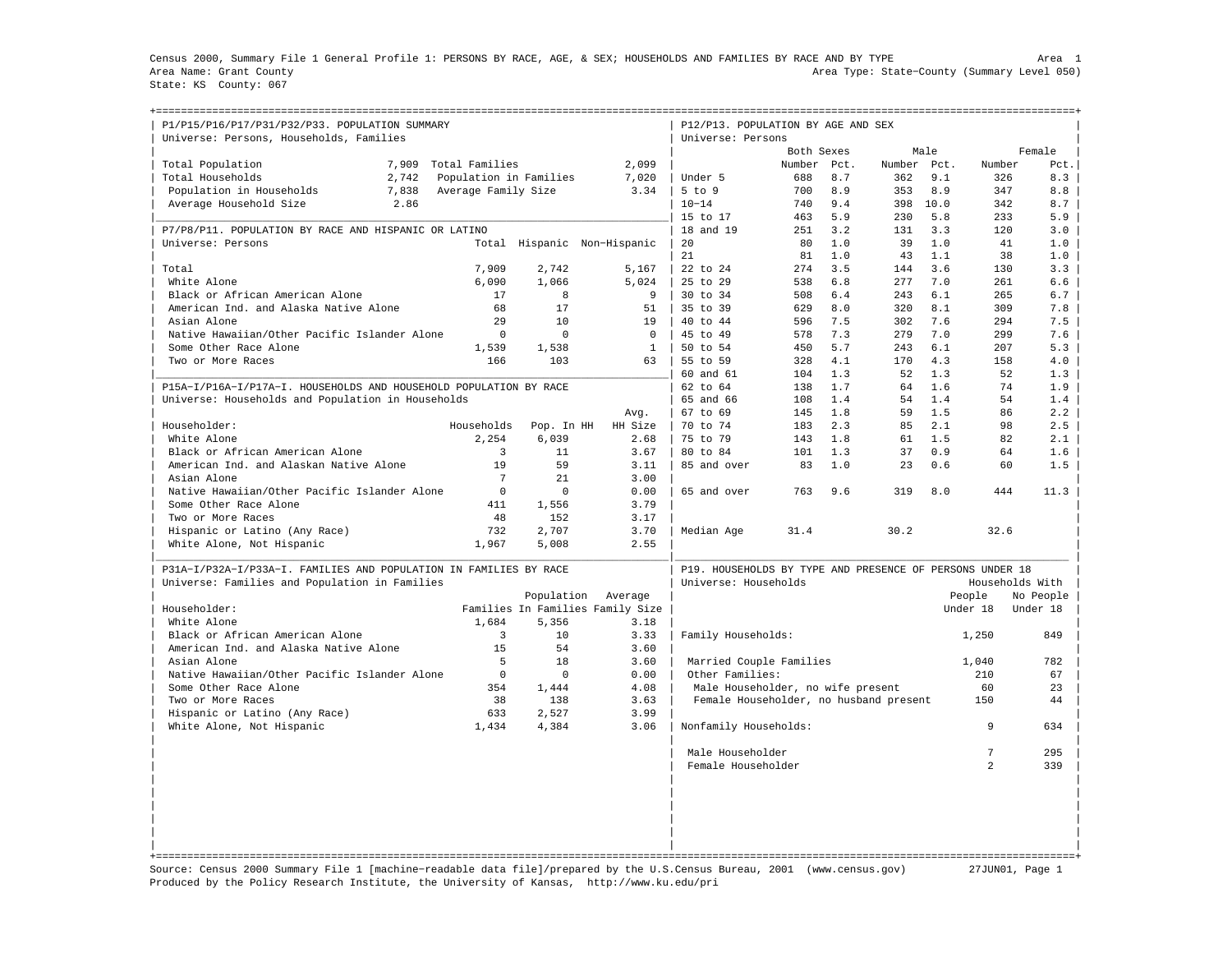Census 2000, Summary File 1 General Profile 1: PERSONS BY RACE, AGE, & SEX; HOUSEHOLDS AND FAMILIES BY RACE AND BY TYPE Area 1 Area Name: Grant County Area Type: State−County (Summary Level 050) State: KS County: 067

| P1/P15/P16/P17/P31/P32/P33. POPULATION SUMMARY<br>Universe: Persons, Households, Families                          |       |                        |                                  |              | P12/P13. POPULATION BY AGE AND SEX<br>Universe: Persons                          |            |            |             |            |                 |            |
|--------------------------------------------------------------------------------------------------------------------|-------|------------------------|----------------------------------|--------------|----------------------------------------------------------------------------------|------------|------------|-------------|------------|-----------------|------------|
|                                                                                                                    |       |                        |                                  |              |                                                                                  | Both Sexes |            |             | Male       |                 | Female     |
| Total Population                                                                                                   | 7,909 | Total Families         |                                  | 2,099        |                                                                                  | Number     | Pct.       | Number Pct. |            | Number          | Pct.       |
| Total Households                                                                                                   | 2,742 | Population in Families |                                  | 7,020        | Under 5                                                                          | 688        | 8.7        | 362         | 9.1        | 326             | 8.3        |
| Population in Households                                                                                           | 7,838 | Average Family Size    |                                  | 3.34         | $5$ to $9$                                                                       | 700        | 8.9        | 353         | 8.9        | 347             | 8.8        |
| Average Household Size                                                                                             | 2.86  |                        |                                  |              | $10 - 14$                                                                        | 740        | 9.4        | 398         | 10.0       | 342             | 8.7        |
|                                                                                                                    |       |                        |                                  |              | 15 to 17                                                                         | 463        | 5.9        | 230         | 5.8        | 233             | 5.9        |
| P7/P8/P11. POPULATION BY RACE AND HISPANIC OR LATINO                                                               |       |                        |                                  |              | 18 and 19                                                                        | 251        | 3.2        | 131         | 3.3        | 120             | 3.0        |
| Universe: Persons                                                                                                  |       |                        | Total Hispanic Non-Hispanic      |              | 20                                                                               | 80         | 1.0        | 39          | 1.0        | 41              | 1.0        |
|                                                                                                                    |       |                        |                                  |              | 21                                                                               | 81         | 1.0        | 43          | 1.1        | 38              | 1.0        |
| Total                                                                                                              |       | 7,909                  | 2,742                            | 5,167        | 22 to 24                                                                         | 274        | 3.5        | 144         | 3.6        | 130             | 3.3        |
| White Alone                                                                                                        |       | 6,090                  | 1,066                            | 5,024        | 25 to 29                                                                         | 538        | 6.8        | 277         | 7.0        | 261             | 6.6        |
| Black or African American Alone                                                                                    |       | 17                     | 8                                | 9            | 30 to 34                                                                         | 508        | 6.4        | 243         | 6.1        | 265             | 6.7        |
| American Ind. and Alaska Native Alone                                                                              |       | 68                     | 17                               | 51           | 35 to 39                                                                         | 629        | 8.0        | 320         | 8.1        | 309             | 7.8        |
| Asian Alone                                                                                                        |       | 29                     | 10                               | 19           | 40 to 44                                                                         | 596        | 7.5        | 302         | 7.6        | 294             | 7.5        |
| Native Hawaiian/Other Pacific Islander Alone                                                                       |       | $\mathbf 0$            | $\Omega$                         | $\Omega$     | 45 to 49                                                                         | 578        | 7.3        | 279         | 7.0        | 299             | 7.6        |
| Some Other Race Alone                                                                                              |       | 1,539                  | 1,538                            | $\mathbf{1}$ | 50 to 54                                                                         | 450        | 5.7        | 243         | 6.1        | 207             | 5.3        |
| Two or More Races                                                                                                  |       | 166                    | 103                              | 63           | 55 to 59                                                                         | 328        | 4.1        | 170         | 4.3        | 158             | 4.0        |
|                                                                                                                    |       |                        |                                  |              | 60 and 61                                                                        | 104        | 1.3        | 52          | 1.3        | 52              | 1.3        |
| P15A-I/P16A-I/P17A-I. HOUSEHOLDS AND HOUSEHOLD POPULATION BY RACE                                                  |       |                        |                                  |              | 62 to 64                                                                         | 138        | 1.7        | 64          | 1.6        | 74              | 1.9        |
| Universe: Households and Population in Households                                                                  |       |                        |                                  |              | 65 and 66                                                                        | 108        | 1.4        | 54          | 1.4        | 54              | 1.4        |
|                                                                                                                    |       |                        |                                  | Avg.         | 67 to 69                                                                         | 145        | 1.8        | 59          | 1.5        | 86              | 2.2        |
| Householder:                                                                                                       |       | Households             | Pop. In HH                       | HH Size      | 70 to 74                                                                         | 183        | 2.3        | 85          | 2.1        | 98              | 2.5        |
| White Alone                                                                                                        |       | 2.254                  | 6,039<br>11                      | 2.68         | 75 to 79                                                                         | 143        | 1.8        | 61          | 1.5        | 82              | 2.1        |
| Black or African American Alone                                                                                    |       | 3<br>19                | 59                               | 3.67<br>3.11 | 80 to 84<br>85 and over                                                          | 101<br>83  | 1.3<br>1.0 | 37<br>23    | 0.9<br>0.6 | 64<br>60        | 1.6<br>1.5 |
| American Ind. and Alaskan Native Alone<br>Asian Alone                                                              |       | $\overline{7}$         | 2.1                              | 3.00         |                                                                                  |            |            |             |            |                 |            |
| Native Hawaiian/Other Pacific Islander Alone                                                                       |       | $\mathbf 0$            | $\Omega$                         | 0.00         | 65 and over                                                                      | 763        | 9.6        | 319         | 8.0        | 444             | 11.3       |
| Some Other Race Alone                                                                                              |       | 411                    | 1,556                            | 3.79         |                                                                                  |            |            |             |            |                 |            |
| Two or More Races                                                                                                  |       | 48                     | 152                              | 3.17         |                                                                                  |            |            |             |            |                 |            |
| Hispanic or Latino (Any Race)                                                                                      |       | 732                    | 2,707                            | 3.70         | Median Age                                                                       | 31.4       |            | 30.2        |            | 32.6            |            |
| White Alone, Not Hispanic                                                                                          |       | 1,967                  | 5,008                            | 2.55         |                                                                                  |            |            |             |            |                 |            |
|                                                                                                                    |       |                        |                                  |              |                                                                                  |            |            |             |            |                 |            |
| P31A-I/P32A-I/P33A-I. FAMILIES AND POPULATION IN FAMILIES BY RACE<br>Universe: Families and Population in Families |       |                        |                                  |              | P19. HOUSEHOLDS BY TYPE AND PRESENCE OF PERSONS UNDER 18<br>Universe: Households |            |            |             |            | Households With |            |
|                                                                                                                    |       |                        | Population                       | Average      |                                                                                  |            |            |             |            | People          | No People  |
| Householder:                                                                                                       |       |                        | Families In Families Family Size |              |                                                                                  |            |            |             |            | Under 18        | Under 18   |
| White Alone                                                                                                        |       | 1,684                  | 5,356                            | 3.18         |                                                                                  |            |            |             |            |                 |            |
| Black or African American Alone                                                                                    |       | 3                      | 10                               | 3.33         | Family Households:                                                               |            |            |             |            | 1,250           | 849        |
| American Ind. and Alaska Native Alone                                                                              |       | 1.5                    | 54                               | 3.60         |                                                                                  |            |            |             |            |                 |            |
| Asian Alone                                                                                                        |       | 5                      | 18                               | 3.60         | Married Couple Families                                                          |            |            |             |            | 1,040           | 782        |
| Native Hawaiian/Other Pacific Islander Alone                                                                       |       | $\mathbf 0$            | $\Omega$                         | 0.00         | Other Families:                                                                  |            |            |             |            | 210             | 67         |
| Some Other Race Alone                                                                                              |       | 354                    | 1,444                            | 4.08         | Male Householder, no wife present                                                |            |            |             |            | 60              | 23         |
| Two or More Races                                                                                                  |       | 38                     | 138                              | 3.63         | Female Householder, no husband present                                           |            |            |             |            | 150             | 44         |
| Hispanic or Latino (Any Race)                                                                                      |       | 633                    | 2,527                            | 3.99         |                                                                                  |            |            |             |            |                 |            |
| White Alone, Not Hispanic                                                                                          |       | 1,434                  | 4,384                            | 3.06         | Nonfamily Households:                                                            |            |            |             |            | 9               | 634        |
|                                                                                                                    |       |                        |                                  |              | Male Householder                                                                 |            |            |             |            | $7\phantom{.0}$ | 295        |
|                                                                                                                    |       |                        |                                  |              | Female Householder                                                               |            |            |             |            | $\mathfrak{D}$  | 339        |
|                                                                                                                    |       |                        |                                  |              |                                                                                  |            |            |             |            |                 |            |
|                                                                                                                    |       |                        |                                  |              |                                                                                  |            |            |             |            |                 |            |

Source: Census 2000 Summary File 1 [machine−readable data file]/prepared by the U.S.Census Bureau, 2001 (www.census.gov) 27JUN01, Page 1 Produced by the Policy Research Institute, the University of Kansas, http://www.ku.edu/pri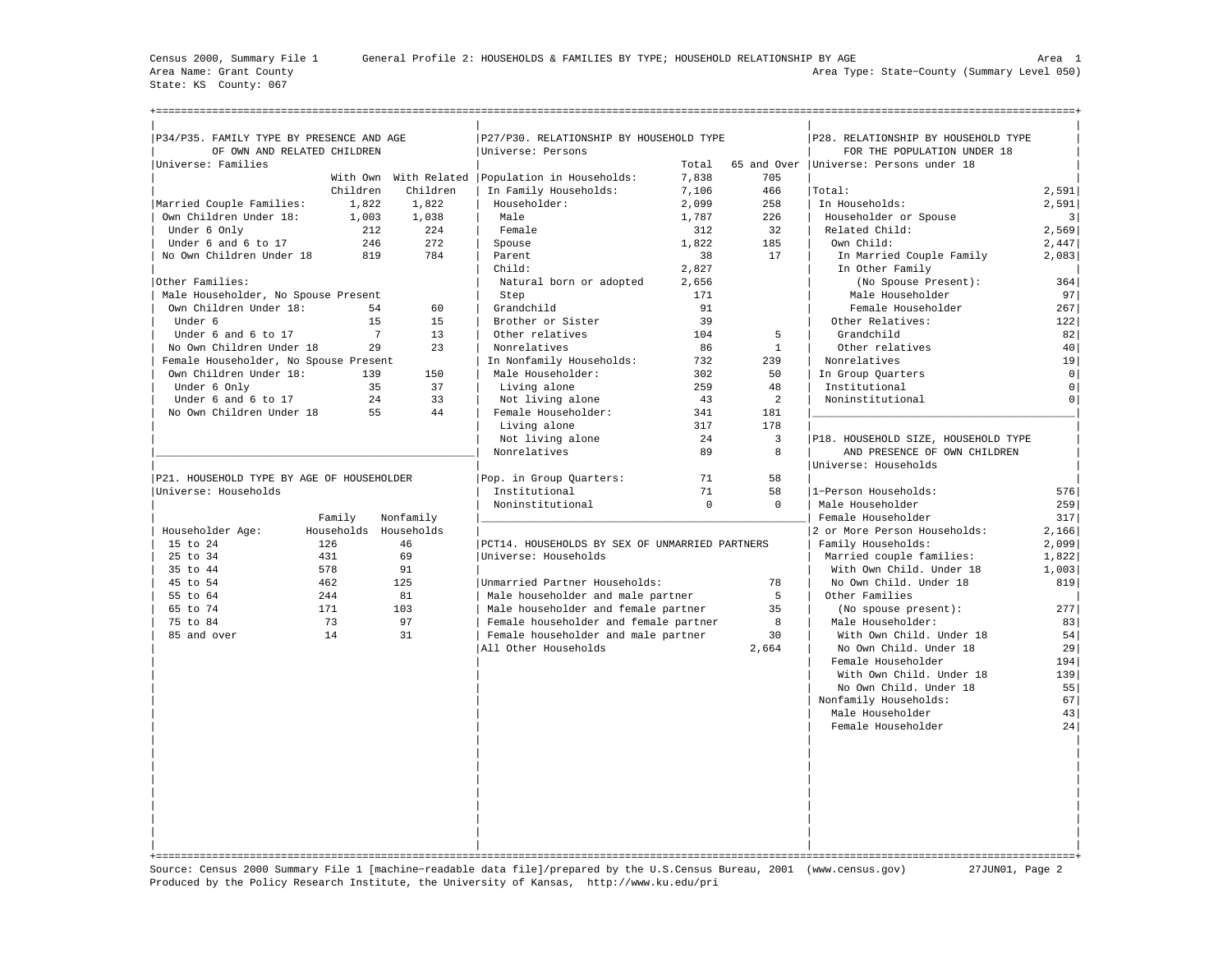State: KS County: 067

+===================================================================================================================================================+

| P34/P35. FAMILY TYPE BY PRESENCE AND AGE        |                       |                        | P27/P30. RELATIONSHIP BY HOUSEHOLD TYPE           |           |              | P28. RELATIONSHIP BY HOUSEHOLD TYPE |                |
|-------------------------------------------------|-----------------------|------------------------|---------------------------------------------------|-----------|--------------|-------------------------------------|----------------|
| OF OWN AND RELATED CHILDREN                     |                       |                        | Universe: Persons                                 |           |              | FOR THE POPULATION UNDER 18         |                |
| Universe: Families                              |                       |                        |                                                   | Total     | 65 and Over  | Universe: Persons under 18          |                |
|                                                 |                       |                        | With Own With Related   Population in Households: | 7.838     | 705          |                                     |                |
|                                                 | Children              | Children               | In Family Households:                             | 7,106     | 466          | Total:                              | 2,591          |
| Married Couple Families:                        | 1,822                 | 1,822                  | Householder:                                      | 2,099     | 258          | In Households:                      | 2,591          |
| Own Children Under 18:                          | 1,003                 | 1,038                  | Male                                              | 1,787     | 226          | Householder or Spouse               | $\overline{3}$ |
| Under 6 Only                                    | 212                   | 224                    | Female                                            | 312       | 32           | Related Child:                      | 2,569          |
| Under 6 and 6 to 17                             | 246                   | 2.72                   | Spouse                                            | 1,822     | 185          | Own Child:                          | 2,447          |
| No Own Children Under 18                        | 819                   | 784                    | Parent                                            | 38        | 17           | In Married Couple Family            | 2,083          |
|                                                 |                       |                        | Child:                                            | 2,827     |              | In Other Family                     |                |
| Other Families:                                 |                       |                        | Natural born or adopted                           | 2,656     |              | (No Spouse Present):                | 364            |
| Male Householder, No Spouse Present             |                       |                        | Step                                              | 171       |              | Male Householder                    | 97             |
| Own Children Under 18:                          | 54                    | 60                     | Grandchild                                        | 91        |              | Female Householder                  | 267            |
| Under 6                                         | 15                    | 15                     | Brother or Sister                                 | 39        |              | Other Relatives:                    | 122            |
| Under 6 and 6 to 17                             |                       | $7\phantom{.0}$<br>1.3 | Other relatives                                   | 104       | 5            | Grandchild                          | 82             |
| No Own Children Under 18                        | 2.9                   | 2.3                    | Nonrelatives                                      | 86        | $\mathbf{1}$ | Other relatives                     | 40             |
| Female Householder, No Spouse Present           |                       |                        | In Nonfamily Households:                          | 732       | 239          | Nonrelatives                        | 19             |
| Own Children Under 18:                          | 139                   | 150<br>37              | Male Householder:                                 | 302       | 50           | In Group Quarters                   | $\mathsf{O}$   |
| Under 6 Only                                    | 35                    |                        | Living alone                                      | 259       | 48           | Institutional                       | $\circ$        |
| Under 6 and 6 to 17<br>No Own Children Under 18 | 24<br>55              | 33<br>44               | Not living alone                                  | 43<br>341 | 2<br>181     | Noninstitutional                    | $\circ$        |
|                                                 |                       |                        | Female Householder:                               | 317       | 178          |                                     |                |
|                                                 |                       |                        | Living alone<br>Not living alone                  | 24        | 3            | P18. HOUSEHOLD SIZE, HOUSEHOLD TYPE |                |
|                                                 |                       |                        | Nonrelatives                                      | 89        | 8            | AND PRESENCE OF OWN CHILDREN        |                |
|                                                 |                       |                        |                                                   |           |              | Universe: Households                |                |
| P21. HOUSEHOLD TYPE BY AGE OF HOUSEHOLDER       |                       |                        | Pop. in Group Quarters:                           | 71        | 58           |                                     |                |
| Universe: Households                            |                       |                        | Institutional                                     | 71        | 58           | 1-Person Households:                | 576            |
|                                                 |                       |                        | Noninstitutional                                  | $\Omega$  | $\Omega$     | Male Householder                    | 259            |
|                                                 | Family                | Nonfamily              |                                                   |           |              | Female Householder                  | 317            |
| Householder Age:                                | Households Households |                        |                                                   |           |              | 2 or More Person Households:        | 2,166          |
| 15 to 24                                        | 126                   | 46                     | PCT14. HOUSEHOLDS BY SEX OF UNMARRIED PARTNERS    |           |              | Family Households:                  | 2,099          |
| 25 to 34                                        | 431                   | 69                     | Universe: Households                              |           |              | Married couple families:            | 1,822          |
| 35 to 44                                        | 578                   | 91                     |                                                   |           |              | With Own Child. Under 18            | 1,003          |
| 45 to 54                                        | 462                   | 125                    | Unmarried Partner Households:                     |           | 78           | No Own Child. Under 18              | 819            |
| 55 to 64                                        | 244                   | 81                     | Male householder and male partner                 |           | 5            | Other Families                      |                |
| 65 to 74                                        | 171                   | 103                    | Male householder and female partner               |           | 35           | (No spouse present):                | 277            |
| 75 to 84                                        | 73                    | 97                     | Female householder and female partner             |           | 8            | Male Householder:                   | 83             |
| 85 and over                                     | 14                    | 31                     | Female householder and male partner               |           | 30           | With Own Child. Under 18            | 54             |
|                                                 |                       |                        | All Other Households                              |           | 2,664        | No Own Child. Under 18              | 29             |
|                                                 |                       |                        |                                                   |           |              | Female Householder                  | 194            |
|                                                 |                       |                        |                                                   |           |              | With Own Child. Under 18            | 139            |
|                                                 |                       |                        |                                                   |           |              | No Own Child. Under 18              | 55             |
|                                                 |                       |                        |                                                   |           |              | Nonfamily Households:               | 67             |
|                                                 |                       |                        |                                                   |           |              | Male Householder                    | 43             |
|                                                 |                       |                        |                                                   |           |              | Female Householder                  | 24             |
|                                                 |                       |                        |                                                   |           |              |                                     |                |
|                                                 |                       |                        |                                                   |           |              |                                     |                |
|                                                 |                       |                        |                                                   |           |              |                                     |                |
|                                                 |                       |                        |                                                   |           |              |                                     |                |
|                                                 |                       |                        |                                                   |           |              |                                     |                |
|                                                 |                       |                        |                                                   |           |              |                                     |                |
|                                                 |                       |                        |                                                   |           |              |                                     |                |
|                                                 |                       |                        |                                                   |           |              |                                     |                |
|                                                 |                       |                        |                                                   |           |              |                                     |                |
|                                                 |                       |                        |                                                   |           |              |                                     |                |

Source: Census 2000 Summary File 1 [machine−readable data file]/prepared by the U.S.Census Bureau, 2001 (www.census.gov) 27JUN01, Page 2 Produced by the Policy Research Institute, the University of Kansas, http://www.ku.edu/pri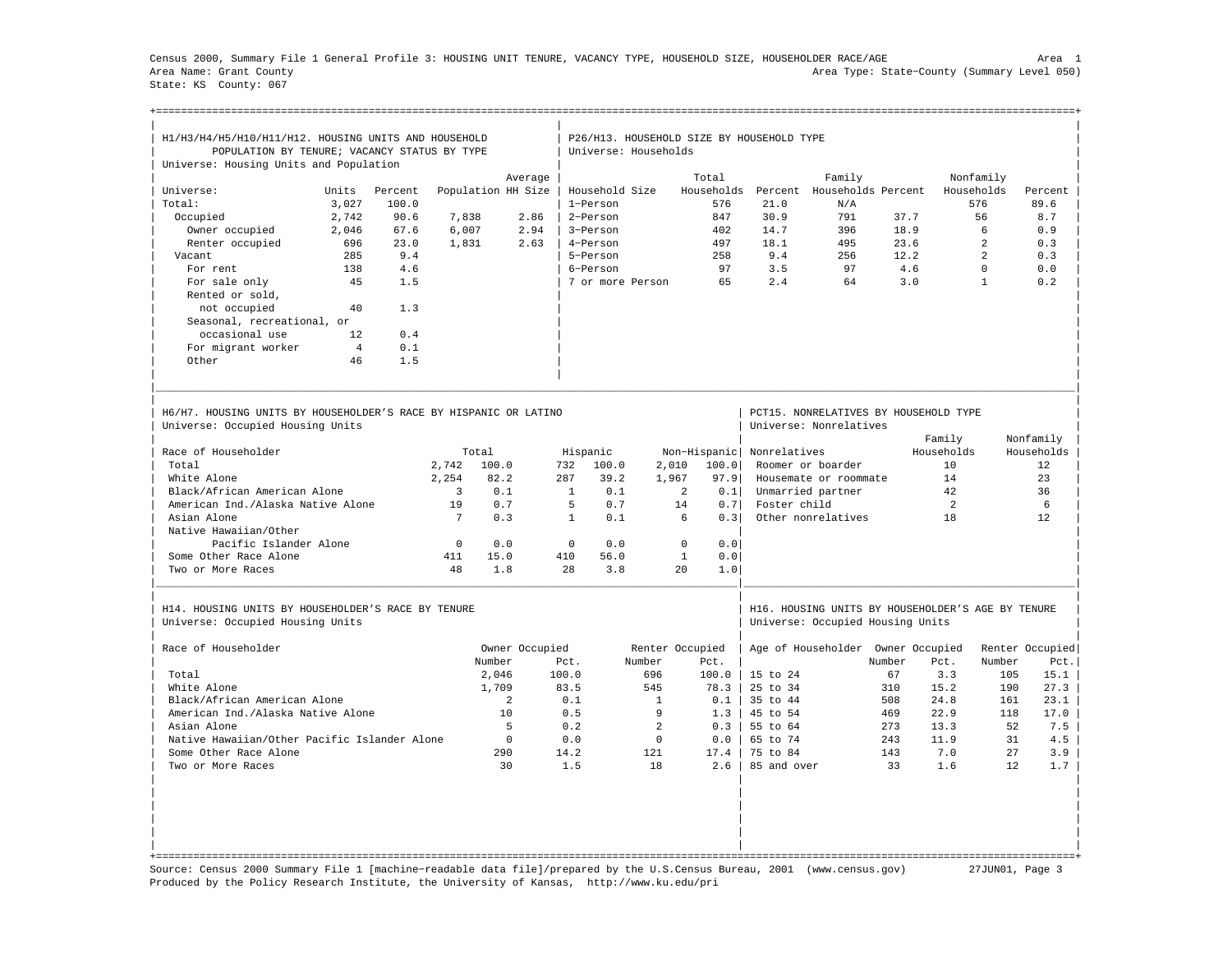Census 2000, Summary File 1 General Profile 3: HOUSING UNIT TENURE, VACANCY TYPE, HOUSEHOLD SIZE, HOUSEHOLDER RACE/AGE Area 1 Area Name: Grant County Area Type: State−County (Summary Level 050) State: KS County: 067

| H1/H3/H4/H5/H10/H11/H12. HOUSING UNITS AND HOUSEHOLD                                                 |                |         |                 |                    |                |                      |              |                     | P26/H13. HOUSEHOLD SIZE BY HOUSEHOLD TYPE |                                                                                       |        |                |                |                 |
|------------------------------------------------------------------------------------------------------|----------------|---------|-----------------|--------------------|----------------|----------------------|--------------|---------------------|-------------------------------------------|---------------------------------------------------------------------------------------|--------|----------------|----------------|-----------------|
| POPULATION BY TENURE; VACANCY STATUS BY TYPE                                                         |                |         |                 |                    |                | Universe: Households |              |                     |                                           |                                                                                       |        |                |                |                 |
| Universe: Housing Units and Population                                                               |                |         |                 |                    |                |                      |              |                     |                                           |                                                                                       |        |                |                |                 |
|                                                                                                      |                |         |                 |                    | Average        |                      |              | Total               |                                           | Family                                                                                |        |                | Nonfamily      |                 |
| Universe:                                                                                            | Units          | Percent |                 | Population HH Size |                | Household Size       |              | Households          | Percent                                   | Households Percent                                                                    |        |                | Households     | Percent         |
| Total:                                                                                               | 3,027          | 100.0   |                 |                    |                | 1-Person             |              | 576                 | 21.0                                      | N/A                                                                                   |        |                | 576            | 89.6            |
| Occupied                                                                                             | 2,742          | 90.6    | 7,838           |                    | 2.86           | 2-Person             |              | 847                 | 30.9                                      | 791                                                                                   | 37.7   |                | 56             | 8.7             |
| Owner occupied                                                                                       | 2,046          | 67.6    | 6,007           |                    | 2.94           | 3-Person             |              | 402                 | 14.7                                      | 396                                                                                   | 18.9   |                | 6              | 0.9             |
| Renter occupied                                                                                      | 696            | 23.0    | 1,831           |                    | 2.63           | 4-Person             |              | 497                 | 18.1                                      | 495                                                                                   | 23.6   |                | $\overline{a}$ | 0.3             |
| Vacant                                                                                               | 285            | 9.4     |                 |                    |                | 5-Person             |              | 258                 | 9.4                                       | 256                                                                                   | 12.2   |                | $\mathfrak{D}$ | 0.3             |
| For rent                                                                                             | 138            | 4.6     |                 |                    |                | 6-Person             |              | 97                  | 3.5                                       | 97                                                                                    |        | 4.6            | $\mathbf 0$    | 0.0             |
| For sale only                                                                                        | 45             | 1.5     |                 |                    |                | 7 or more Person     |              | 65                  | 2.4                                       | 64                                                                                    |        | 3.0            | $\mathbf{1}$   | 0.2             |
| Rented or sold,                                                                                      |                |         |                 |                    |                |                      |              |                     |                                           |                                                                                       |        |                |                |                 |
| not occupied                                                                                         | 40             | 1.3     |                 |                    |                |                      |              |                     |                                           |                                                                                       |        |                |                |                 |
| Seasonal, recreational, or                                                                           |                |         |                 |                    |                |                      |              |                     |                                           |                                                                                       |        |                |                |                 |
| occasional use                                                                                       | 12             | 0.4     |                 |                    |                |                      |              |                     |                                           |                                                                                       |        |                |                |                 |
|                                                                                                      | $\overline{4}$ | 0.1     |                 |                    |                |                      |              |                     |                                           |                                                                                       |        |                |                |                 |
| For migrant worker<br>Other                                                                          | 46             | 1.5     |                 |                    |                |                      |              |                     |                                           |                                                                                       |        |                |                |                 |
|                                                                                                      |                |         |                 |                    |                |                      |              |                     |                                           |                                                                                       |        |                |                |                 |
| H6/H7, HOUSING UNITS BY HOUSEHOLDER'S RACE BY HISPANIC OR LATINO<br>Universe: Occupied Housing Units |                |         |                 |                    |                |                      |              |                     |                                           | PCT15. NONRELATIVES BY HOUSEHOLD TYPE<br>Universe: Nonrelatives                       |        |                |                |                 |
|                                                                                                      |                |         |                 |                    |                |                      |              |                     |                                           |                                                                                       |        | Family         |                | Nonfamily       |
| Race of Householder                                                                                  |                |         |                 | Total              |                | Hispanic             |              | Non-Hispanic        | Nonrelatives                              |                                                                                       |        | Households     |                | Households      |
| Total                                                                                                |                |         | 2.742           | 100.0              |                | 732<br>100.0         | 2,010        | 100.0               |                                           | Roomer or boarder                                                                     |        | 10             |                | 12              |
| White Alone                                                                                          |                |         | 2.254           | 82.2               | 287            | 39.2                 | 1,967        | 97.9                |                                           | Housemate or roommate                                                                 |        | 14             |                | 23              |
| Black/African American Alone                                                                         |                |         | $\overline{3}$  | 0.1                |                | <sup>1</sup><br>0.1  |              | 2<br>0.1            |                                           | Unmarried partner                                                                     |        | 42             |                | 36              |
|                                                                                                      |                |         | 19              | 0.7                |                | 5<br>0.7             |              | 14<br>0.71          | Foster child                              |                                                                                       |        | 2              |                | 6               |
| American Ind./Alaska Native Alone                                                                    |                |         | $7\phantom{.0}$ |                    |                |                      |              |                     |                                           |                                                                                       |        |                |                |                 |
| Asian Alone                                                                                          |                |         |                 | 0.3                |                | $\mathbf{1}$<br>0.1  |              | 6<br>0.3            |                                           | Other nonrelatives                                                                    |        | 18             |                | 12              |
| Native Hawaiian/Other                                                                                |                |         |                 |                    |                |                      |              |                     |                                           |                                                                                       |        |                |                |                 |
| Pacific Islander Alone                                                                               |                |         | $\mathbf{0}$    | 0.0                |                | $\mathbf 0$<br>0.0   |              | $\mathbf 0$<br>0.0  |                                           |                                                                                       |        |                |                |                 |
| Some Other Race Alone                                                                                |                |         | 411             | 15.0               |                | 410<br>56.0          |              | $\mathbf{1}$<br>0.0 |                                           |                                                                                       |        |                |                |                 |
| Two or More Races                                                                                    |                |         | 48              | 1.8                |                | 28<br>3.8            |              | 20<br>1.0           |                                           |                                                                                       |        |                |                |                 |
| H14. HOUSING UNITS BY HOUSEHOLDER'S RACE BY TENURE<br>Universe: Occupied Housing Units               |                |         |                 |                    |                |                      |              |                     |                                           | H16. HOUSING UNITS BY HOUSEHOLDER'S AGE BY TENURE<br>Universe: Occupied Housing Units |        |                |                |                 |
|                                                                                                      |                |         |                 |                    |                |                      |              |                     |                                           |                                                                                       |        |                |                |                 |
| Race of Householder                                                                                  |                |         |                 |                    | Owner Occupied |                      |              | Renter Occupied     |                                           | Age of Householder                                                                    |        | Owner Occupied |                | Renter Occupied |
|                                                                                                      |                |         |                 | Number             |                | Pct.                 | Number       | Pct.                |                                           |                                                                                       | Number | Pct.           | Number         | Pct.            |
| Total                                                                                                |                |         |                 | 2,046              | 100.0          |                      | 696          | 100.0               | $15$ to $24$                              |                                                                                       | 67     | 3.3            | 105            | 15.1            |
| White Alone                                                                                          |                |         |                 | 1,709              |                | 83.5                 | 545          | 78.3                | 25 to 34                                  |                                                                                       | 310    | 15.2           | 190            | 27.3            |
| Black/African American Alone                                                                         |                |         |                 | 2                  |                | $0.1$                | $\mathbf{1}$ | 0.1                 | 35 to 44                                  |                                                                                       | 508    | 24.8           | 161            | 23.1            |
| American Ind./Alaska Native Alone                                                                    |                |         |                 | 10                 |                | 0.5                  | 9            | 1.3                 | 45 to 54                                  |                                                                                       | 469    | 22.9           | 118            | 17.0            |
| Asian Alone                                                                                          |                |         |                 | 5                  |                | 0.2                  | 2            | 0.3                 | 55 to 64                                  |                                                                                       | 273    | 13.3           | 52             | 7.5             |
| Native Hawaiian/Other Pacific Islander Alone                                                         |                |         |                 | $\Omega$           |                | 0.0                  | $\Omega$     | 0.0                 | 65 to 74                                  |                                                                                       | 243    | 11.9           | 31             | 4.5             |
| Some Other Race Alone                                                                                |                |         |                 | 290                |                | 14.2                 | 121          | 17.4                | 75 to 84                                  |                                                                                       | 143    | 7.0            | 27             | 3.9             |
| Two or More Races                                                                                    |                |         |                 | 30                 |                | 1.5                  | 18           | 2.6                 | 85 and over                               |                                                                                       | 33     | 1.6            | 12             | 1.7             |
|                                                                                                      |                |         |                 |                    |                |                      |              |                     |                                           |                                                                                       |        |                |                |                 |
|                                                                                                      |                |         |                 |                    |                |                      |              |                     |                                           |                                                                                       |        |                |                |                 |

Source: Census 2000 Summary File 1 [machine−readable data file]/prepared by the U.S.Census Bureau, 2001 (www.census.gov) 27JUN01, Page 3 Produced by the Policy Research Institute, the University of Kansas, http://www.ku.edu/pri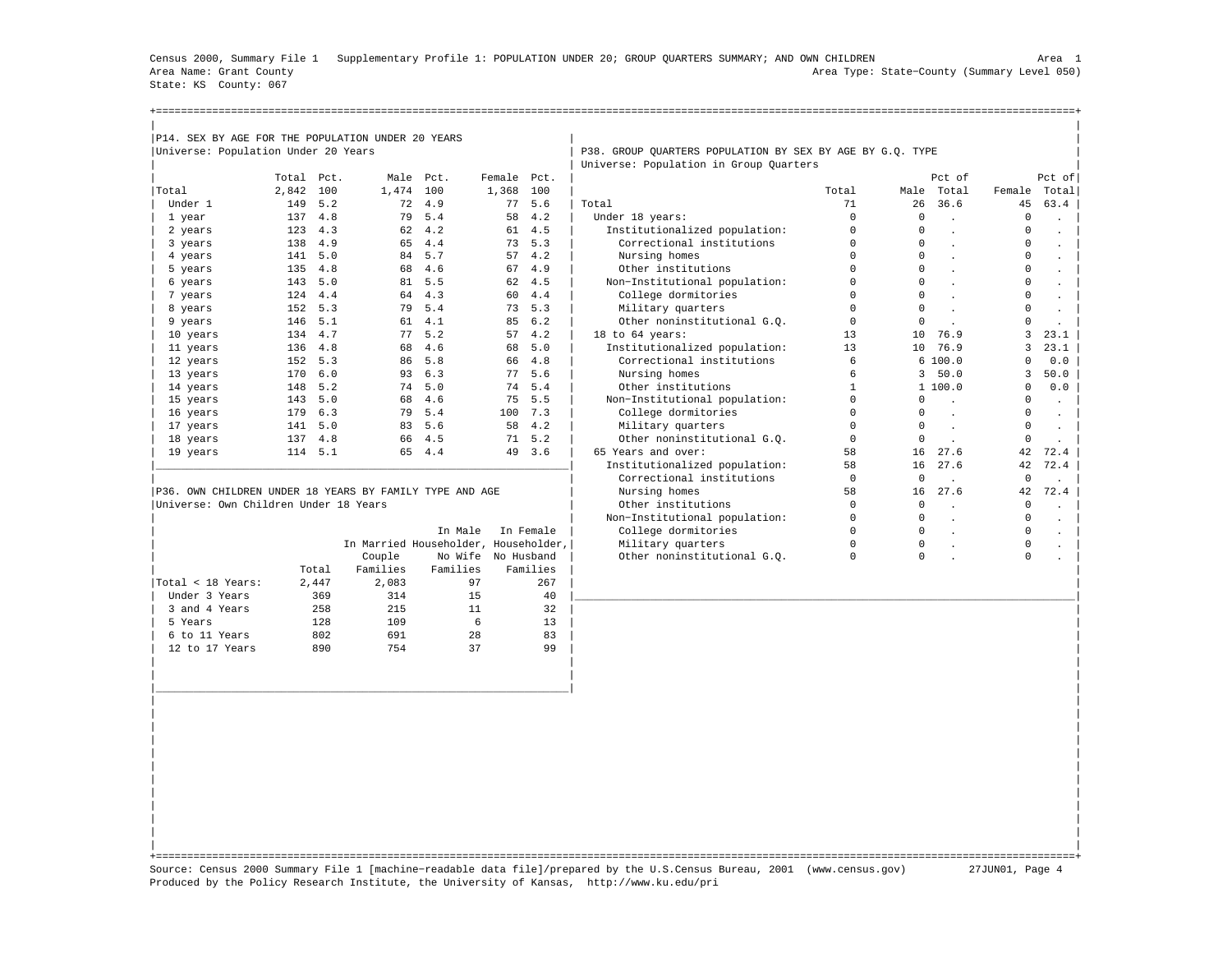Census 2000, Summary File 1 Supplementary Profile 1: POPULATION UNDER 20; GROUP QUARTERS SUMMARY; AND OWN CHILDREN Area 1 Area Name: Grant County Area Type: State−County (Summary Level 050) State: KS County: 067

| P14. SEX BY AGE FOR THE POPULATION UNDER 20 YEARS |            |         |           |        |             |        |                                                           |       |      |        |        |          |
|---------------------------------------------------|------------|---------|-----------|--------|-------------|--------|-----------------------------------------------------------|-------|------|--------|--------|----------|
| Universe: Population Under 20 Years               |            |         |           |        |             |        | P38. GROUP OUARTERS POPULATION BY SEX BY AGE BY G.O. TYPE |       |      |        |        |          |
|                                                   |            |         |           |        |             |        | Universe: Population in Group Quarters                    |       |      |        |        |          |
|                                                   | Total Pct. |         | Male Pct. |        | Female Pct. |        |                                                           |       |      | Pct of |        | $Pct$ of |
| Total                                             | 2,842 100  |         | 1,474 100 |        | 1,368 100   |        |                                                           | Total | Male | Total  | Female | Total    |
| Under 1                                           |            | 149 5.2 |           | 72 4.9 |             | 77 5.6 | Total                                                     | 71    | 26   | 36.6   | 45     | 63.4     |
| 1 year                                            | 137        | 4.8     |           | 79 5.4 |             | 58 4.2 | Under 18 years:                                           |       |      |        |        |          |
| 2 years                                           |            | 123 4.3 |           | 62 4.2 |             | 61 4.5 | Institutionalized population:                             |       |      |        |        |          |
| 3 years                                           |            | 138 4.9 |           | 65 4.4 |             | 73 5.3 | Correctional institutions                                 |       |      |        |        |          |
| 4 years                                           |            | 141 5.0 |           | 84 5.7 |             | 57 4.2 | Nursing homes                                             |       | 0    |        |        |          |
| 5 years                                           |            | 135 4.8 |           | 68 4.6 |             | 67 4.9 | Other institutions                                        |       | 0    |        |        |          |
| 6 years                                           | 143        | 5.0     |           | 81 5.5 |             | 62 4.5 | Non-Institutional population:                             |       |      |        |        |          |
| 7 years                                           | 124        | 4.4     | 64        | 4.3    |             | 60 4.4 | College dormitories                                       |       |      |        |        |          |
| 8 years                                           |            | 152 5.3 | 79        | 5.4    |             | 73 5.3 | Military quarters                                         |       |      |        |        |          |

|                   |       |          | In Male  | In Female                            | College dormitories         | 0 |   |  |
|-------------------|-------|----------|----------|--------------------------------------|-----------------------------|---|---|--|
|                   |       |          |          | In Married Householder, Householder, | Military quarters           | 0 | 0 |  |
|                   |       | Couple   |          | No Wife No Husband                   | Other noninstitutional G.O. | 0 |   |  |
|                   | Total | Families | Families | Families                             |                             |   |   |  |
| Total < 18 Years: | 2.447 | 2,083    | 97       | 267                                  |                             |   |   |  |
| Under 3 Years     | 369   | 314      | 15       | 40                                   |                             |   |   |  |
| 3 and 4 Years     | 258   | 215      | 11       | 32                                   |                             |   |   |  |
| 5 Years           | 128   | 109      | 6        | 13                                   |                             |   |   |  |
| 6 to 11 Years     | 802   | 691      | 28       | 83                                   |                             |   |   |  |
| 12 to 17 Years    | 890   | 754      | 37       | 99                                   |                             |   |   |  |
|                   |       |          |          |                                      |                             |   |   |  |

| 2 years                                                 | 123 | 4.3 | 62 | 4.2 | 61                                   | 4.5       | Institutionalized population: |          | $\Omega$     |         | <sup>n</sup> |         |
|---------------------------------------------------------|-----|-----|----|-----|--------------------------------------|-----------|-------------------------------|----------|--------------|---------|--------------|---------|
| 3 years                                                 | 138 | 4.9 | 65 | 4.4 | 73                                   | 5.3       | Correctional institutions     |          | $\Omega$     |         |              |         |
| 4 years                                                 | 141 | 5.0 | 84 | 5.7 | 57                                   | 4.2       | Nursing homes                 |          | $\Omega$     |         |              |         |
| 5 years                                                 | 135 | 4.8 | 68 | 4.6 | 67                                   | 4.9       | Other institutions            |          | $\Omega$     |         |              |         |
| 6 years                                                 | 143 | 5.0 | 81 | 5.5 | 62                                   | 4.5       | Non-Institutional population: |          | $\Omega$     |         |              |         |
| 7 years                                                 | 124 | 4.4 | 64 | 4.3 | 60                                   | 4.4       | College dormitories           |          | $\Omega$     |         |              |         |
| 8 years                                                 | 152 | 5.3 | 79 | 5.4 | 73                                   | 5.3       | Military quarters             |          |              |         |              |         |
| 9 years                                                 | 146 | 5.1 | 61 | 4.1 | 85                                   | 6.2       | Other noninstitutional G.O.   |          |              |         |              |         |
| 10 years                                                | 134 | 4.7 | 77 | 5.2 | 57                                   | 4.2       | 18 to 64 years:               | 13       | 10           | 76.9    |              | 23.1    |
| 11 years                                                | 136 | 4.8 | 68 | 4.6 | 68                                   | 5.0       | Institutionalized population: | 13       | 10           | 76.9    |              | 23.1    |
| 12 years                                                | 152 | 5.3 | 86 | 5.8 | 66                                   | 4.8       | Correctional institutions     |          |              | 6100.0  |              | 0.0     |
| 13 years                                                | 170 | 6.0 | 93 | 6.3 | 77                                   | 5.6       | Nursing homes                 |          | 3            | 50.0    |              | 50.0    |
| 14 years                                                | 148 | 5.2 | 74 | 5.0 | 74                                   | 5.4       | Other institutions            |          |              | 1 100.0 | 0            | 0.0     |
| 15 years                                                | 143 | 5.0 | 68 | 4.6 | 75                                   | 5.5       | Non-Institutional population: |          | <sup>n</sup> |         |              | $\cdot$ |
| 16 years                                                | 179 | 6.3 | 79 | 5.4 | 100                                  | 7.3       | College dormitories           |          | $\Omega$     |         |              |         |
| 17 years                                                | 141 | 5.0 | 83 | 5.6 | 58                                   | 4.2       | Military quarters             |          |              |         |              |         |
| 18 years                                                | 137 | 4.8 | 66 | 4.5 | 71                                   | 5.2       | Other noninstitutional G.O.   |          | $\Omega$     |         | $\Omega$     |         |
| 19 years                                                | 114 | 5.1 | 65 | 4.4 | 49                                   | 3.6       | 65 Years and over:            | 58       | 16           | 27.6    | 42           | 72.4    |
|                                                         |     |     |    |     |                                      |           | Institutionalized population: | 58       | 16           | 27.6    | 42           | 72.4    |
|                                                         |     |     |    |     |                                      |           | Correctional institutions     | $\Omega$ | $\Omega$     |         | $\mathbf 0$  |         |
| P36. OWN CHILDREN UNDER 18 YEARS BY FAMILY TYPE AND AGE |     |     |    |     |                                      |           | Nursing homes                 | 58       | 16           | 27.6    | 42           | 72.4    |
| Universe: Own Children Under 18 Years                   |     |     |    |     |                                      |           | Other institutions            |          |              |         |              |         |
|                                                         |     |     |    |     |                                      |           | Non-Institutional population: |          |              |         |              |         |
|                                                         |     |     |    |     | In Male                              | In Female | College dormitories           |          |              |         |              |         |
|                                                         |     |     |    |     | In Married Householder, Householder, |           | Military quarters             |          |              |         |              |         |

| | +===================================================================================================================================================+ Source: Census 2000 Summary File 1 [machine−readable data file]/prepared by the U.S.Census Bureau, 2001 (www.census.gov) 27JUN01, Page 4 Produced by the Policy Research Institute, the University of Kansas, http://www.ku.edu/pri

| | | |\_\_\_\_\_\_\_\_\_\_\_\_\_\_\_\_\_\_\_\_\_\_\_\_\_\_\_\_\_\_\_\_\_\_\_\_\_\_\_\_\_\_\_\_\_\_\_\_\_\_\_\_\_\_\_\_\_\_\_\_\_\_\_\_\_\_| | | | | | | | | | | | | | | | | | | | | | | |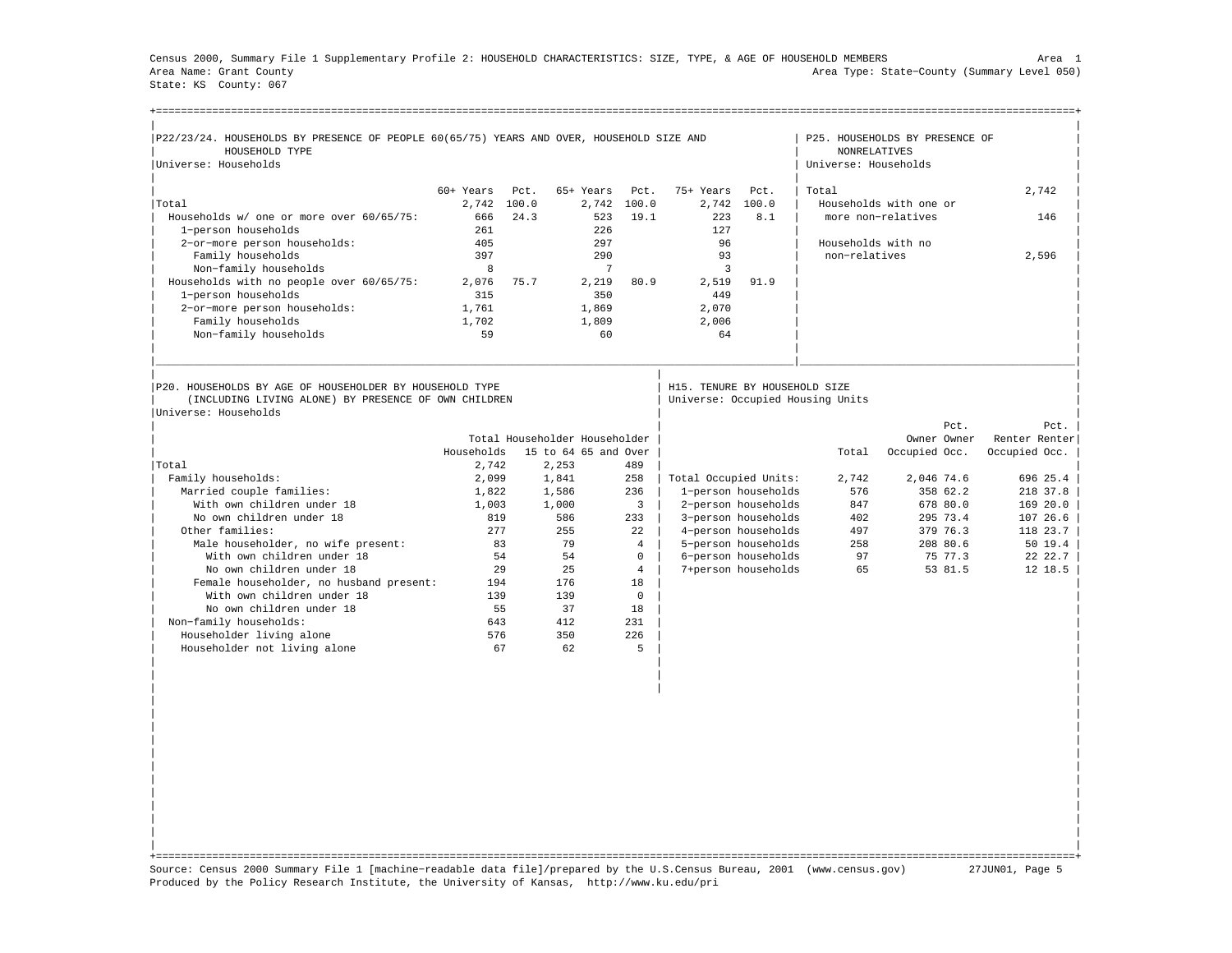Census 2000, Summary File 1 Supplementary Profile 2: HOUSEHOLD CHARACTERISTICS: SIZE, TYPE, & AGE OF HOUSEHOLD MEMBERS Area 1 Area Name: Grant County Area Type: State−County (Summary Level 050) State: KS County: 067

| P22/23/24. HOUSEHOLDS BY PRESENCE OF PEOPLE 60(65/75) YEARS AND OVER, HOUSEHOLD SIZE AND<br>HOUSEHOLD TYPE      |            |             |                               |                |                               |                     | <b>NONRELATIVES</b>              | P25. HOUSEHOLDS BY PRESENCE OF |               |                                      |
|-----------------------------------------------------------------------------------------------------------------|------------|-------------|-------------------------------|----------------|-------------------------------|---------------------|----------------------------------|--------------------------------|---------------|--------------------------------------|
| Universe: Households                                                                                            |            |             |                               |                |                               |                     | Universe: Households             |                                |               |                                      |
|                                                                                                                 | 60+ Years  | Pct.        | 65+ Years                     | Pct.           | 75+ Years                     | Pct.                | Total                            |                                | 2.742         |                                      |
| Total                                                                                                           |            | 2,742 100.0 |                               | 2,742 100.0    | 2,742                         | 100.0               |                                  | Households with one or         |               |                                      |
| Households w/ one or more over 60/65/75:                                                                        | 666        | 24.3        | 523                           | 19.1           | 223                           | 8.1                 |                                  | more non-relatives             | 146           |                                      |
| 1-person households                                                                                             | 261        |             | 226                           |                | 127                           |                     |                                  |                                |               |                                      |
| 2-or-more person households:                                                                                    | 405        |             | 297                           |                | 96                            |                     | Households with no               |                                |               |                                      |
| Family households                                                                                               | 397        |             | 290                           |                | 93                            |                     | non-relatives                    |                                | 2,596         |                                      |
| Non-family households                                                                                           | 8          |             | 7                             |                | 3                             |                     |                                  |                                |               |                                      |
| Households with no people over 60/65/75:                                                                        | 2,076      | 75.7        | 2,219                         | 80.9           | 2,519                         | 91.9                |                                  |                                |               |                                      |
| 1-person households                                                                                             | 315        |             | 350                           |                | 449                           |                     |                                  |                                |               |                                      |
| 2-or-more person households:                                                                                    | 1,761      |             | 1,869                         |                | 2,070                         |                     |                                  |                                |               |                                      |
| Family households                                                                                               | 1,702      |             | 1,809                         |                | 2,006                         |                     |                                  |                                |               |                                      |
| Non-family households                                                                                           | 59         |             | 60                            |                | 64                            |                     |                                  |                                |               |                                      |
|                                                                                                                 |            |             |                               |                |                               |                     |                                  |                                |               |                                      |
| P20. HOUSEHOLDS BY AGE OF HOUSEHOLDER BY HOUSEHOLD TYPE<br>(INCLUDING LIVING ALONE) BY PRESENCE OF OWN CHILDREN |            |             |                               |                | H15. TENURE BY HOUSEHOLD SIZE |                     | Universe: Occupied Housing Units |                                |               |                                      |
|                                                                                                                 |            |             |                               |                |                               |                     |                                  |                                | Pct.          |                                      |
|                                                                                                                 |            |             | Total Householder Householder |                |                               |                     |                                  | Owner Owner                    | Renter Renter |                                      |
| Universe: Households                                                                                            | Households |             | 15 to 64 65 and Over          |                |                               |                     | Total                            | Occupied Occ.                  | Occupied Occ. |                                      |
| Total                                                                                                           | 2,742      |             | 2,253                         | 489            |                               |                     |                                  |                                |               |                                      |
| Family households:                                                                                              | 2,099      |             | 1,841                         | 258            | Total Occupied Units:         |                     | 2.742                            | 2,046 74.6                     | 696 25.4      |                                      |
| Married couple families:                                                                                        | 1,822      |             | 1,586                         | 236            |                               | 1-person households | 576                              | 358 62.2                       | 218 37.8      |                                      |
| With own children under 18                                                                                      | 1,003      |             | 1,000                         | $\overline{3}$ |                               | 2-person households | 847                              | 678 80.0                       | 169 20.0      |                                      |
| No own children under 18                                                                                        | 819        |             | 586                           | 233            |                               | 3-person households | 402                              | 295 73.4                       | 107 26.6      |                                      |
| Other families:                                                                                                 | 277        |             | 255                           | 2.2.           |                               | 4-person households | 497                              | 379 76.3                       | 118 23.7      |                                      |
| Male householder, no wife present:                                                                              |            | 83          | 79                            | $\overline{4}$ |                               | 5-person households | 258                              | 208 80.6                       |               |                                      |
| With own children under 18                                                                                      |            | 54          | 54                            | $\Omega$       |                               | 6-person households | 97                               | 75 77.3                        |               |                                      |
| No own children under 18                                                                                        |            | 29          | 2.5                           | $\overline{4}$ |                               | 7+person households | 65                               | 53 81.5                        |               |                                      |
| Female householder, no husband present:                                                                         | 194        |             | 176                           | 18             |                               |                     |                                  |                                |               |                                      |
| With own children under 18                                                                                      | 139        |             | 139                           | $\mathbf 0$    |                               |                     |                                  |                                |               |                                      |
| No own children under 18                                                                                        |            | 55          | 37                            | 18             |                               |                     |                                  |                                |               |                                      |
| Non-family households:                                                                                          | 643        |             | 412                           | 231            |                               |                     |                                  |                                |               |                                      |
| Householder living alone<br>Householder not living alone                                                        | 576        | 67          | 350<br>62                     | 226<br>5       |                               |                     |                                  |                                |               | Pct.<br>5019.4<br>22 22.7<br>12 18.5 |

| | +===================================================================================================================================================+ Source: Census 2000 Summary File 1 [machine−readable data file]/prepared by the U.S.Census Bureau, 2001 (www.census.gov) 27JUN01, Page 5 Produced by the Policy Research Institute, the University of Kansas, http://www.ku.edu/pri

| | | | | | | | | | | | | | | | | | | | | |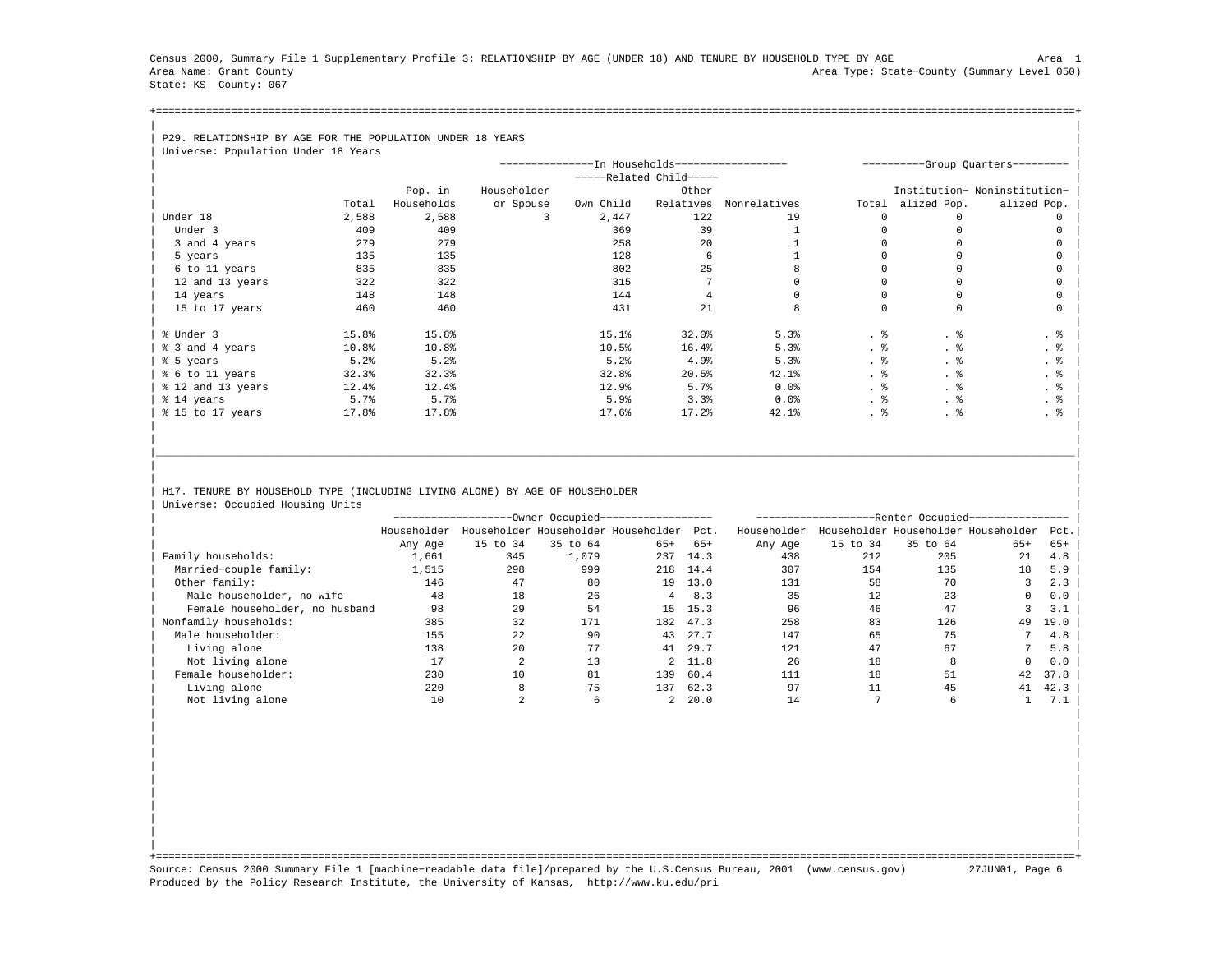Census 2000, Summary File 1 Supplementary Profile 3: RELATIONSHIP BY AGE (UNDER 18) AND TENURE BY HOUSEHOLD TYPE BY AGE Area 1 Area Name: Grant County Area Type: State−County (Summary Level 050) State: KS County: 067

+===================================================================================================================================================+| |

## | P29. RELATIONSHIP BY AGE FOR THE POPULATION UNDER 18 YEARS |<br>| Universe: Population Under 18 Ye

| Universe: Population Under 18 Years |       |            |             |                                               |                         |              |       |             |                                  |
|-------------------------------------|-------|------------|-------------|-----------------------------------------------|-------------------------|--------------|-------|-------------|----------------------------------|
|                                     |       |            |             | --------------In Households------------------ |                         |              |       |             | ---------Group Quarters--------- |
|                                     |       |            |             |                                               | -----Related Child----- |              |       |             |                                  |
|                                     |       | Pop. in    | Householder |                                               | Other                   |              |       |             | Institution- Noninstitution-     |
|                                     | Total | Households | or Spouse   | Own Child                                     | Relatives               | Nonrelatives | Total | alized Pop. | alized Pop.                      |
| Under 18                            | 2,588 | 2,588      |             | 2,447                                         | 122                     | 19           |       |             |                                  |
| Under 3                             | 409   | 409        |             | 369                                           | 39                      |              |       |             |                                  |
| 3 and 4 years                       | 279   | 279        |             | 258                                           | 20                      |              |       |             |                                  |
| 5 years                             | 135   | 135        |             | 128                                           | 6                       |              |       |             |                                  |
| 6 to 11 years                       | 835   | 835        |             | 802                                           | 25                      |              |       |             |                                  |
| 12 and 13 years                     | 322   | 322        |             | 315                                           |                         |              |       |             |                                  |
| 14 years                            | 148   | 148        |             | 144                                           |                         |              |       |             |                                  |
| 15 to 17 years                      | 460   | 460        |             | 431                                           | 21                      | 8            |       | $\Omega$    |                                  |
|                                     |       |            |             |                                               |                         |              |       |             |                                  |
| % Under 3                           | 15.8% | 15.8%      |             | 15.1%                                         | 32.0%                   | 5.3%         | . 응   | . 응         | . 응                              |
| % 3 and 4 years                     | 10.8% | 10.8%      |             | 10.5%                                         | 16.4%                   | 5.3%         | . 응   | . 응         | . 응                              |
| % 5 years                           | 5.2%  | 5.2%       |             | 5.2%                                          | 4.9%                    | 5.3%         | . 응   | . 응         | . 응                              |
| % 6 to 11 years                     | 32.3% | 32.3%      |             | 32.8%                                         | 20.5%                   | 42.1%        | . 응   | . 응         | . 응                              |
| % 12 and 13 years                   | 12.4% | 12.4%      |             | 12.9%                                         | 5.7%                    | $0.0$ $%$    | . 응   | . 응         | . 응                              |
| % 14 years                          | 5.7%  | 5.7%       |             | 5.9%                                          | 3.3%                    | $0.0$ $%$    | . 응   | . 응         | . 응                              |
| % 15 to 17 years                    | 17.8% | 17.8%      |             | 17.6%                                         | 17.2%                   | 42.1%        | . 응   | . 응         | . 응                              |
|                                     |       |            |             |                                               |                         |              |       |             |                                  |

## H17. TENURE BY HOUSEHOLD TYPE (INCLUDING LIVING ALONE) BY AGE OF HOUSEHOLDER Universe: Occupied Housing Units

|                                |             |          | -Owner Occupied------------------   |       |         |             |          | -Renter Occupied-                   |          |      |  |
|--------------------------------|-------------|----------|-------------------------------------|-------|---------|-------------|----------|-------------------------------------|----------|------|--|
|                                | Householder |          | Householder Householder Householder |       | Pct.    | Householder |          | Householder Householder Householder |          | Pct. |  |
|                                | Any Age     | 15 to 34 | 35 to 64                            | $65+$ | $65+$   | Any Age     | 15 to 34 | 35 to 64                            | $65+$    | 65+  |  |
| Family households:             | 1,661       | 345      | 1,079                               | 237   | 14.3    | 438         | 212      | 205                                 | 21       | 4.8  |  |
| Married-couple family:         | 1,515       | 298      | 999                                 | 218   | 14.4    | 307         | 154      | 135                                 | 18       | 5.9  |  |
| Other family:                  | 146         | 47       | 80                                  | 19    | 13.0    | 131         | 58       | 70                                  |          | 2.3  |  |
| Male householder, no wife      | 48          | 18       | 26                                  |       | 8.3     | 35          | 12       | 23                                  |          | 0.0  |  |
| Female householder, no husband | 98          | 29       | 54                                  | 15    | 15.3    | 96          | 46       | 47                                  |          | 3.1  |  |
| Nonfamily households:          | 385         | 32       | 171                                 | 182   | 47.3    | 258         | 83       | 126                                 | 49       | 19.0 |  |
| Male householder:              | 155         | 22       | 90                                  | 43    | 27.7    | 147         | 65       | 75                                  |          | 4.8  |  |
| Living alone                   | 138         | 20       | 77                                  | 41    | 29.7    | 121         | 47       | 67                                  |          | 5.8  |  |
| Not living alone               | 17          |          | 13                                  |       | 2 11.8  | 26          | 18       | 8                                   | $\Omega$ | 0.0  |  |
| Female householder:            | 230         | 10       | 81                                  | 139   | 60.4    | 111         | 18       | 51                                  | 42       | 37.8 |  |
| Living alone                   | 220         |          | 75                                  | 137   | 62.3    | 97          | 11       | 45                                  | 41       | 42.3 |  |
| Not living alone               | 10          |          |                                     |       | 2, 20.0 | 14          |          | 6                                   |          | 7.1  |  |

| | | | | | | | | | | | | | | | | | | |

|\_\_\_\_\_\_\_\_\_\_\_\_\_\_\_\_\_\_\_\_\_\_\_\_\_\_\_\_\_\_\_\_\_\_\_\_\_\_\_\_\_\_\_\_\_\_\_\_\_\_\_\_\_\_\_\_\_\_\_\_\_\_\_\_\_\_\_\_\_\_\_\_\_\_\_\_\_\_\_\_\_\_\_\_\_\_\_\_\_\_\_\_\_\_\_\_\_\_\_\_\_\_\_\_\_\_\_\_\_\_\_\_\_\_\_\_\_\_\_\_\_\_\_\_\_\_\_\_\_\_\_\_\_\_\_\_\_\_\_\_\_\_\_\_\_\_\_| | | | |

| | +===================================================================================================================================================+ Source: Census 2000 Summary File 1 [machine−readable data file]/prepared by the U.S.Census Bureau, 2001 (www.census.gov) 27JUN01, Page 6 Produced by the Policy Research Institute, the University of Kansas, http://www.ku.edu/pri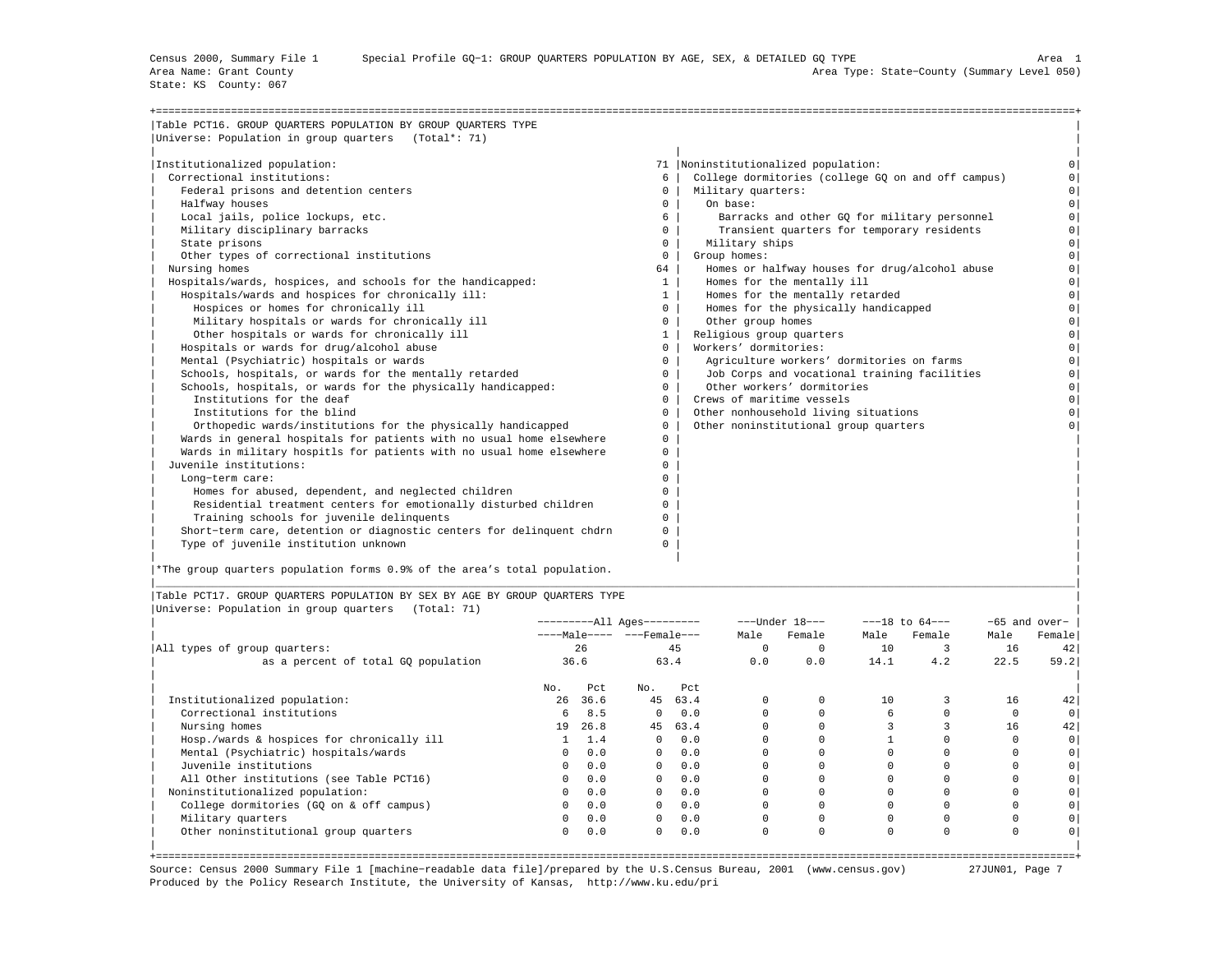State: KS County: 067

| Table PCT16. GROUP QUARTERS POPULATION BY GROUP QUARTERS TYPE         |              |                                                    |          |
|-----------------------------------------------------------------------|--------------|----------------------------------------------------|----------|
| Universe: Population in group quarters (Total*: 71)                   |              |                                                    |          |
| Institutionalized population:                                         |              | 71  Noninstitutionalized population:               |          |
| Correctional institutions:                                            | 6            | College dormitories (college GO on and off campus) |          |
| Federal prisons and detention centers                                 | $\mathbf{0}$ | Military quarters:                                 | $\Omega$ |
| Halfway houses                                                        | $\mathbf{0}$ | On base:                                           | $\Omega$ |
| Local jails, police lockups, etc.                                     | 6            | Barracks and other GO for military personnel       | $\Omega$ |
| Military disciplinary barracks                                        | $\Omega$     | Transient quarters for temporary residents         | $\Omega$ |
| State prisons                                                         | $\Omega$     | Military ships                                     | $\Omega$ |
| Other types of correctional institutions                              | $\Omega$     | Group homes:                                       | $\Omega$ |
| Nursing homes                                                         | 64           | Homes or halfway houses for drug/alcohol abuse     | $\Omega$ |
| Hospitals/wards, hospices, and schools for the handicapped:           | $\mathbf{1}$ | Homes for the mentally ill                         | $\Omega$ |
| Hospitals/wards and hospices for chronically ill:                     | $\mathbf{1}$ | Homes for the mentally retarded                    | $\Omega$ |
| Hospices or homes for chronically ill                                 | $^{\circ}$   | Homes for the physically handicapped               | $\circ$  |
| Military hospitals or wards for chronically ill                       | $\circ$      | Other group homes                                  | $\Omega$ |
| Other hospitals or wards for chronically ill                          | $\mathbf{1}$ | Religious group quarters                           | $\Omega$ |
| Hospitals or wards for drug/alcohol abuse                             | $\Omega$     | Workers' dormitories:                              | $\Omega$ |
| Mental (Psychiatric) hospitals or wards                               | $\Omega$     | Agriculture workers' dormitories on farms          | $\Omega$ |
| Schools, hospitals, or wards for the mentally retarded                | $\Omega$     | Job Corps and vocational training facilities       | $\circ$  |
| Schools, hospitals, or wards for the physically handicapped:          | $\Omega$     | Other workers' dormitories                         | $\Omega$ |
| Institutions for the deaf                                             | $\mathbf{0}$ | Crews of maritime vessels                          | $\Omega$ |
| Institutions for the blind                                            | $\Omega$     | Other nonhousehold living situations               | $\Omega$ |
| Orthopedic wards/institutions for the physically handicapped          | $\Omega$     | Other noninstitutional group quarters              |          |
| Wards in general hospitals for patients with no usual home elsewhere  | 0            |                                                    |          |
| Wards in military hospitls for patients with no usual home elsewhere  | 0            |                                                    |          |
| Juvenile institutions:                                                | 0            |                                                    |          |
| Long-term care:                                                       | $\Omega$     |                                                    |          |
| Homes for abused, dependent, and neglected children                   | $\Omega$     |                                                    |          |
| Residential treatment centers for emotionally disturbed children      | 0            |                                                    |          |
| Training schools for juvenile delinquents                             | 0            |                                                    |          |
| Short-term care, detention or diagnostic centers for delinquent chdrn | 0            |                                                    |          |
| Type of juvenile institution unknown                                  | 0            |                                                    |          |

|\*The group quarters population forms 0.9% of the area's total population. |

|Table PCT17. GROUP QUARTERS POPULATION BY SEX BY AGE BY GROUP QUARTERS TYPE | |Universe: Population in group quarters (Total: 71) |

|                                            |          |      | ----------All Ages--------- |      |          | $---Under 18---$ |          | $---18$ to $64---$ |          | $-65$ and over- |
|--------------------------------------------|----------|------|-----------------------------|------|----------|------------------|----------|--------------------|----------|-----------------|
|                                            |          |      | ----Male---- ---Female---   |      | Male     | Female           | Male     | Female             | Male     | Female          |
| All types of group quarters:               |          | 26   |                             | 45   | $\Omega$ |                  | 10       |                    | 16       | 42              |
| as a percent of total GQ population        |          | 36.6 |                             | 63.4 | 0.0      | 0.0              | 14.1     | 4.2                | 22.5     | 59.2            |
|                                            | No.      | Pct  | No.                         | Pct  |          |                  |          |                    |          |                 |
| Institutionalized population:              | 26       | 36.6 | 45                          | 63.4 | 0        |                  | 10       |                    | 16       | 42              |
| Correctional institutions                  | 6        | 8.5  | $^{\circ}$                  | 0.0  |          |                  | 6        |                    |          |                 |
| Nursing homes                              | 19       | 26.8 | 45                          | 63.4 |          |                  |          |                    | 16       | 42              |
| Hosp./wards & hospices for chronically ill |          | 1.4  | $^{\circ}$                  | 0.0  |          |                  |          |                    |          |                 |
| Mental (Psychiatric) hospitals/wards       | $\Omega$ | 0.0  | $\mathbf{0}$                | 0.0  |          |                  |          |                    |          |                 |
| Juvenile institutions                      | $\Omega$ | 0.0  | $\Omega$                    | 0.0  |          |                  |          |                    |          |                 |
| All Other institutions (see Table PCT16)   | 0        | 0.0  | $^{\circ}$                  | 0.0  |          |                  |          |                    |          |                 |
| Noninstitutionalized population:           | 0        | 0.0  | $^{\circ}$                  | 0.0  |          |                  |          |                    |          |                 |
| College dormitories (GQ on & off campus)   | 0        | 0.0  | $^{\circ}$                  | 0.0  |          |                  |          | $\Omega$           |          |                 |
| Military quarters                          | 0        | 0.0  | $\mathbf{0}$                | 0.0  |          |                  |          |                    |          |                 |
| Other noninstitutional group quarters      | 0        | 0.0  | $\mathbf{0}$                | 0.0  | 0        | 0                | $\Omega$ | $\Omega$           | $\Omega$ |                 |
|                                            |          |      |                             |      |          |                  |          |                    |          |                 |

|\_\_\_\_\_\_\_\_\_\_\_\_\_\_\_\_\_\_\_\_\_\_\_\_\_\_\_\_\_\_\_\_\_\_\_\_\_\_\_\_\_\_\_\_\_\_\_\_\_\_\_\_\_\_\_\_\_\_\_\_\_\_\_\_\_\_\_\_\_\_\_\_\_\_\_\_\_\_\_\_\_\_\_\_\_\_\_\_\_\_\_\_\_\_\_\_\_\_\_\_\_\_\_\_\_\_\_\_\_\_\_\_\_\_\_\_\_\_\_\_\_\_\_\_\_\_\_\_\_\_\_\_\_\_\_\_\_\_\_\_\_\_\_\_\_\_\_|

+===================================================================================================================================================+ Source: Census 2000 Summary File 1 [machine−readable data file]/prepared by the U.S.Census Bureau, 2001 (www.census.gov) 27JUN01, Page 7 Produced by the Policy Research Institute, the University of Kansas, http://www.ku.edu/pri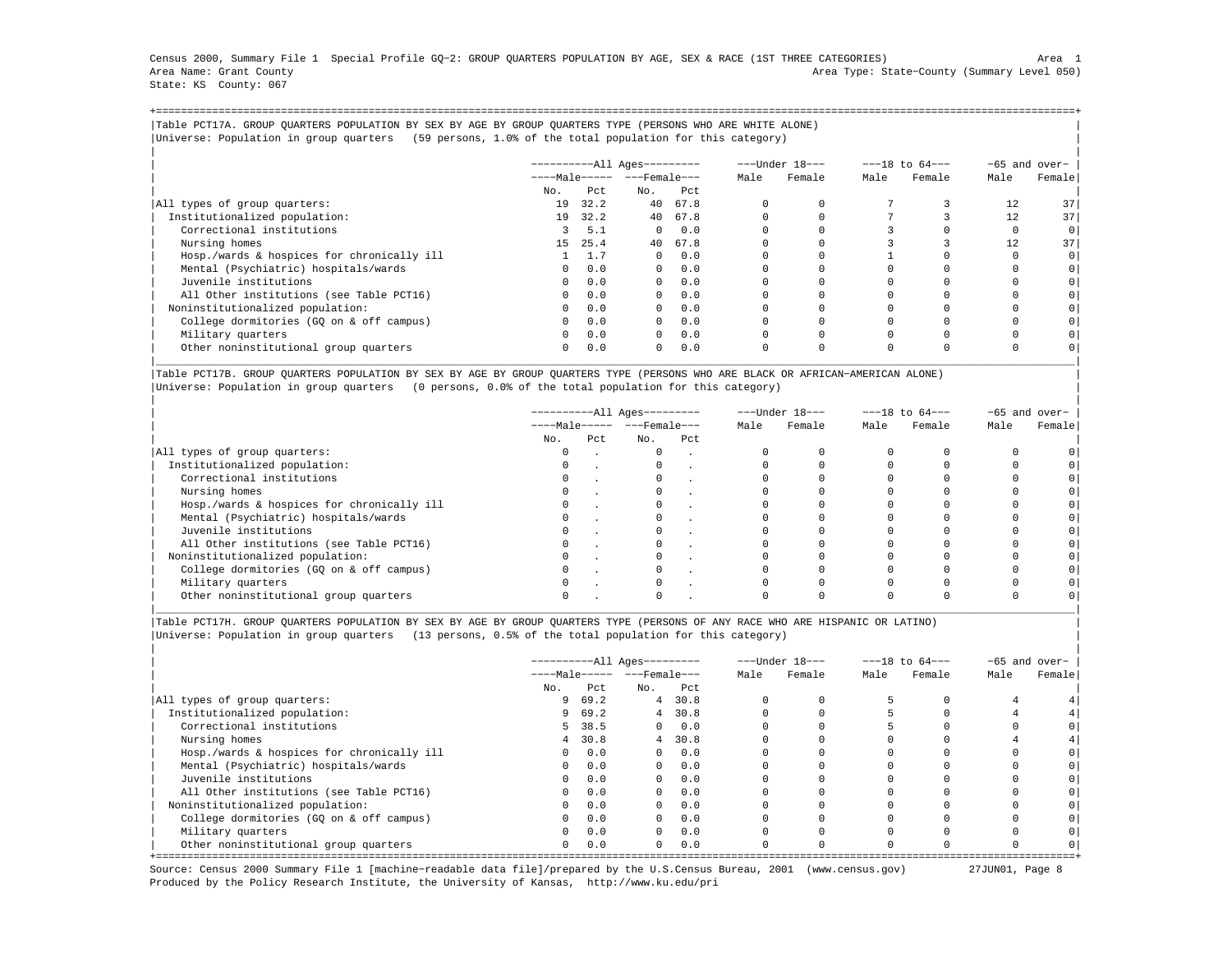Census 2000, Summary File 1 Special Profile GQ−2: GROUP QUARTERS POPULATION BY AGE, SEX & RACE (1ST THREE CATEGORIES) Area 1 Area Name: Grant County Area Type: State−County (Summary Level 050) State: KS County: 067

+===================================================================================================================================================+|Table PCT17A. GROUP QUARTERS POPULATION BY SEX BY AGE BY GROUP QUARTERS TYPE (PERSONS WHO ARE WHITE ALONE) | |Universe: Population in group quarters (59 persons, 1.0% of the total population for this category) |

|                                            |              |      | ----------All Ages--------- |            |      | ---Under 18--- |          | $---18$ to $64---$ |      | -65 and over-   |
|--------------------------------------------|--------------|------|-----------------------------|------------|------|----------------|----------|--------------------|------|-----------------|
|                                            |              |      | $---Male--- - -Frame$       |            | Male | Female         | Male     | Female             | Male | Female          |
|                                            | No.          | Pct  | No.                         | Pct        |      |                |          |                    |      |                 |
| All types of group quarters:               | 19           | 32.2 | 40                          | 67.8       |      |                |          |                    | 12   | 37 <sup>1</sup> |
| Institutionalized population:              | 19           | 32.2 |                             | 40 67.8    |      |                |          |                    | 12   | 37              |
| Correctional institutions                  | 3            | 5.1  | $\Omega$                    | 0.0        |      |                |          |                    |      | $\circ$         |
| Nursing homes                              | 15           | 25.4 | 40                          | 67.8       |      |                |          |                    | 12   | 37 <sup>1</sup> |
| Hosp./wards & hospices for chronically ill |              | 1.7  | $\Omega$                    | 0.0        |      |                |          |                    |      | $\circ$         |
| Mental (Psychiatric) hospitals/wards       | $\Omega$     | 0.0  |                             | $0 \t 0.0$ |      |                |          |                    |      | 0 <sup>1</sup>  |
| Juvenile institutions                      | $\Omega$     | 0.0  | $\Omega$                    | 0.0        |      |                |          |                    |      |                 |
| All Other institutions (see Table PCT16)   | $\Omega$     | 0.0  | $\Omega$                    | 0.0        |      |                |          |                    |      |                 |
| Noninstitutionalized population:           | $\Omega$     | 0.0  | $\Omega$                    | 0.0        |      |                |          |                    |      |                 |
| College dormitories (GO on & off campus)   | $\circ$      | 0.0  | $\Omega$                    | 0.0        |      |                |          |                    |      |                 |
| Military quarters                          | $\mathbf{0}$ | 0.0  | $\overline{0}$              | 0.0        |      |                |          |                    |      |                 |
| Other noninstitutional group quarters      | $\Omega$     | 0.0  | $\Omega$                    | 0.0        |      |                | $\Omega$ |                    |      |                 |

|Table PCT17B. GROUP QUARTERS POPULATION BY SEX BY AGE BY GROUP QUARTERS TYPE (PERSONS WHO ARE BLACK OR AFRICAN−AMERICAN ALONE) | |Universe: Population in group quarters (0 persons, 0.0% of the total population for this category) |

|                                            |                              |     | ----------All Ages--------- |     |      | ---Under 18--- | $---18$ to $64---$ |        | -65 and over- |        |
|--------------------------------------------|------------------------------|-----|-----------------------------|-----|------|----------------|--------------------|--------|---------------|--------|
|                                            | $---Male--- - - - Female---$ |     |                             |     | Male | Female         | Male               | Female | Male          | Female |
|                                            | No.                          | Pct | No.                         | Pct |      |                |                    |        |               |        |
| All types of group quarters:               | 0                            |     | $\Omega$                    |     |      |                |                    |        |               |        |
| Institutionalized population:              |                              |     |                             |     |      |                |                    |        |               |        |
| Correctional institutions                  | 0                            |     |                             |     |      |                |                    |        |               |        |
| Nursing homes                              |                              |     |                             |     |      |                |                    |        |               |        |
| Hosp./wards & hospices for chronically ill |                              |     |                             |     |      |                |                    |        |               |        |
| Mental (Psychiatric) hospitals/wards       |                              |     |                             |     |      |                |                    |        |               |        |
| Juvenile institutions                      |                              |     |                             |     |      |                |                    |        |               |        |
| All Other institutions (see Table PCT16)   |                              |     |                             |     |      |                |                    |        |               |        |
| Noninstitutionalized population:           | 0                            |     |                             |     |      |                |                    |        |               |        |
| College dormitories (GO on & off campus)   |                              |     |                             |     |      |                |                    |        |               |        |
| Military quarters                          |                              |     |                             |     |      |                |                    |        |               |        |
| Other noninstitutional group quarters      |                              |     |                             |     |      |                |                    |        |               |        |

|\_\_\_\_\_\_\_\_\_\_\_\_\_\_\_\_\_\_\_\_\_\_\_\_\_\_\_\_\_\_\_\_\_\_\_\_\_\_\_\_\_\_\_\_\_\_\_\_\_\_\_\_\_\_\_\_\_\_\_\_\_\_\_\_\_\_\_\_\_\_\_\_\_\_\_\_\_\_\_\_\_\_\_\_\_\_\_\_\_\_\_\_\_\_\_\_\_\_\_\_\_\_\_\_\_\_\_\_\_\_\_\_\_\_\_\_\_\_\_\_\_\_\_\_\_\_\_\_\_\_\_\_\_\_\_\_\_\_\_\_\_\_\_\_\_\_\_|

|Table PCT17H. GROUP QUARTERS POPULATION BY SEX BY AGE BY GROUP QUARTERS TYPE (PERSONS OF ANY RACE WHO ARE HISPANIC OR LATINO) | |Universe: Population in group quarters (13 persons, 0.5% of the total population for this category) |

|                                            |                                  |      | $------All Aqes------$ |         |      | ---Under 18--- |      | $---18$ to $64---$ | $-65$ and over- |        |
|--------------------------------------------|----------------------------------|------|------------------------|---------|------|----------------|------|--------------------|-----------------|--------|
|                                            | $---Male--- - -  ---$ Female --- |      |                        |         | Male | Female         | Male | Female             | Male            | Female |
|                                            | No.                              | Pct. | No.                    | Pct     |      |                |      |                    |                 |        |
| All types of group quarters:               | 9.                               | 69.2 |                        | 4 30.8  |      |                |      |                    |                 |        |
| Institutionalized population:              | 9.                               | 69.2 |                        | 4, 30.8 |      |                |      |                    |                 |        |
| Correctional institutions                  | 5                                | 38.5 | $\overline{0}$         | 0.0     |      |                |      |                    |                 |        |
| Nursing homes                              | $\overline{4}$                   | 30.8 |                        | 4 30.8  |      |                |      |                    |                 |        |
| Hosp./wards & hospices for chronically ill | $\Omega$                         | 0.0  | $\Omega$               | 0.0     |      |                |      |                    |                 |        |
| Mental (Psychiatric) hospitals/wards       | $\Omega$                         | 0.0  | $\Omega$               | 0.0     |      |                |      |                    |                 |        |
| Juvenile institutions                      | $\Omega$                         | 0.0  | $\Omega$               | 0.0     |      |                |      |                    |                 |        |
| All Other institutions (see Table PCT16)   | $\Omega$                         | 0.0  | $\Omega$               | 0.0     |      |                |      |                    |                 |        |
| Noninstitutionalized population:           | $\Omega$                         | 0.0  | $\Omega$               | 0.0     |      |                |      |                    |                 |        |
| College dormitories (GQ on & off campus)   | $\Omega$                         | 0.0  | $\Omega$               | 0.0     |      |                |      |                    |                 |        |
| Military quarters                          | $\Omega$                         | 0.0  | $\cap$                 | 0.0     |      |                |      |                    |                 |        |
| Other noninstitutional group quarters      | $\mathbf{0}$                     | 0.0  | $\Omega$               | 0.0     |      |                |      |                    |                 |        |

Source: Census 2000 Summary File 1 [machine−readable data file]/prepared by the U.S.Census Bureau, 2001 (www.census.gov) 27JUN01, Page 8 Produced by the Policy Research Institute, the University of Kansas, http://www.ku.edu/pri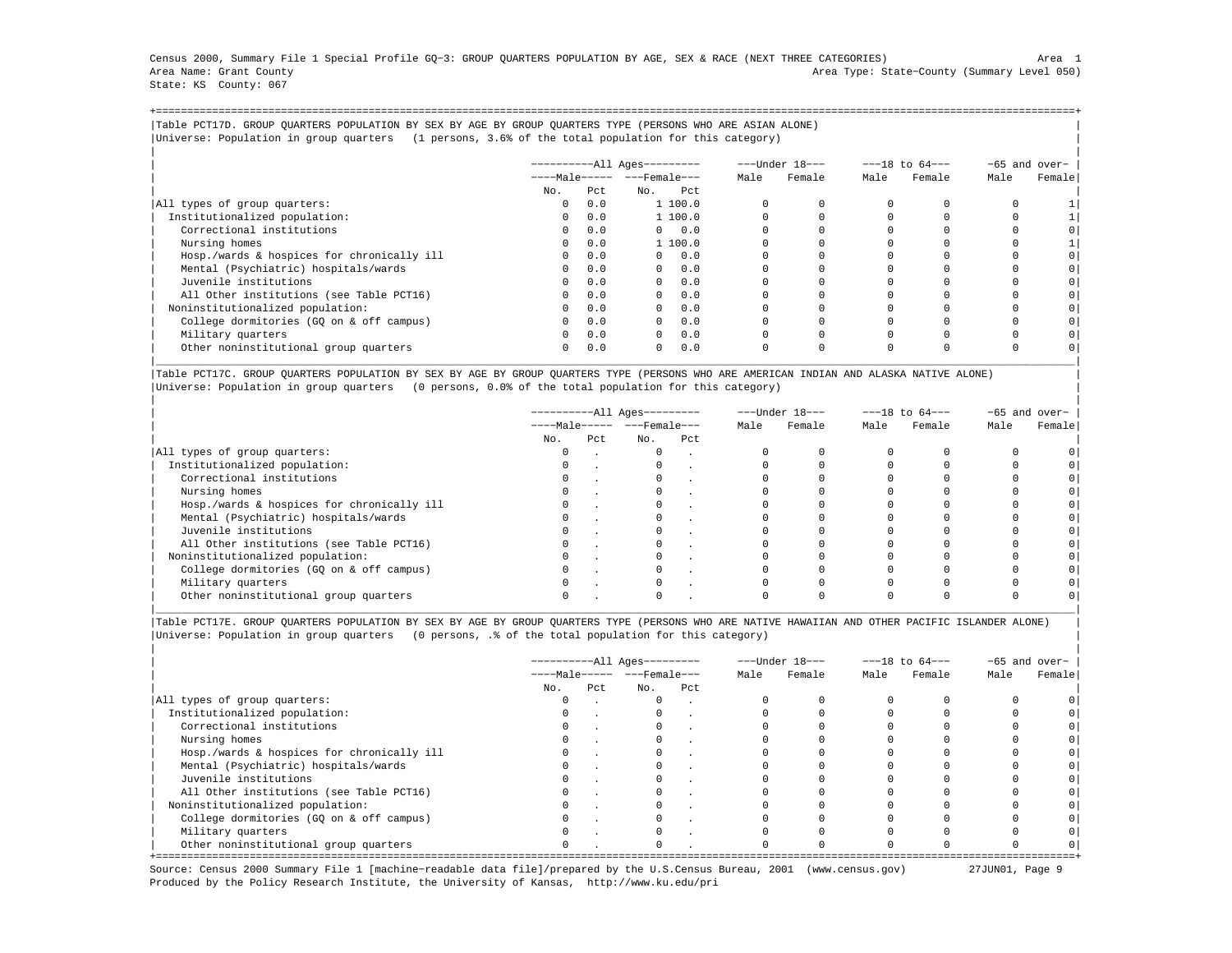Census 2000, Summary File 1 Special Profile GQ−3: GROUP QUARTERS POPULATION BY AGE, SEX & RACE (NEXT THREE CATEGORIES) Area 1 Area Name: Grant County Area Type: State−County (Summary Level 050) State: KS County: 067

+===================================================================================================================================================+|Table PCT17D. GROUP QUARTERS POPULATION BY SEX BY AGE BY GROUP QUARTERS TYPE (PERSONS WHO ARE ASIAN ALONE) | |Universe: Population in group quarters (1 persons, 3.6% of the total population for this category) |

|                                            |          |     | $------All Aqes------$     |            |      | ---Under 18--- | $---18$ to $64---$ |        | -65 and over- |        |
|--------------------------------------------|----------|-----|----------------------------|------------|------|----------------|--------------------|--------|---------------|--------|
|                                            |          |     | $---Male--- - - Female---$ |            | Male | Female         | Male               | Female | Male          | Female |
|                                            | No.      | Pct | No.                        | Pct        |      |                |                    |        |               |        |
| All types of group quarters:               | $\Omega$ | 0.0 | 1 100.0                    |            |      |                |                    |        |               |        |
| Institutionalized population:              | $\Omega$ | 0.0 | 1 100.0                    |            |      |                |                    |        |               |        |
| Correctional institutions                  | $\Omega$ | 0.0 |                            | $0 \t 0.0$ |      |                |                    |        |               |        |
| Nursing homes                              | $\Omega$ | 0.0 | 1 100.0                    |            |      |                |                    |        |               |        |
| Hosp./wards & hospices for chronically ill |          | 0.0 |                            | $0 \t 0.0$ |      |                |                    |        |               |        |
| Mental (Psychiatric) hospitals/wards       |          | 0.0 |                            | $0 \t 0.0$ |      |                |                    |        |               |        |
| Juvenile institutions                      | $\Omega$ | 0.0 | $\Omega$                   | 0.0        |      |                |                    |        |               |        |
| All Other institutions (see Table PCT16)   |          | 0.0 | $\Omega$                   | 0.0        |      |                |                    |        |               |        |
| Noninstitutionalized population:           |          | 0.0 | $\Omega$                   | 0.0        |      |                |                    |        |               |        |
| College dormitories (GO on & off campus)   | $\Omega$ | 0.0 | $\Omega$                   | 0.0        |      |                |                    |        |               |        |
| Military quarters                          | $\Omega$ | 0.0 | $\Omega$                   | 0.0        |      |                |                    |        |               |        |
| Other noninstitutional group quarters      | $\Omega$ | 0.0 | $\Omega$                   | 0.0        |      |                | $\Omega$           |        |               |        |

|Table PCT17C. GROUP QUARTERS POPULATION BY SEX BY AGE BY GROUP QUARTERS TYPE (PERSONS WHO ARE AMERICAN INDIAN AND ALASKA NATIVE ALONE) | |Universe: Population in group quarters (0 persons, 0.0% of the total population for this category) |

|                                            |          |     | ----------All Ages--------- |                                |  | ---Under 18--- | $---18$ to $64---$ |        | $-65$ and over- |        |
|--------------------------------------------|----------|-----|-----------------------------|--------------------------------|--|----------------|--------------------|--------|-----------------|--------|
|                                            |          |     |                             | $---Male--- -  ---$ Female --- |  | Female         | Male               | Female | Male            | Female |
|                                            | No.      | Pct | No.                         | Pct                            |  |                |                    |        |                 |        |
| All types of group quarters:               | 0        |     | $\mathbf{0}$                | $\sim$                         |  |                |                    |        |                 |        |
| Institutionalized population:              | 0        |     |                             |                                |  |                |                    |        |                 |        |
| Correctional institutions                  | $\Omega$ |     |                             |                                |  |                |                    |        |                 |        |
| Nursing homes                              |          |     |                             |                                |  |                |                    |        |                 |        |
| Hosp./wards & hospices for chronically ill |          |     |                             |                                |  |                |                    |        |                 |        |
| Mental (Psychiatric) hospitals/wards       |          |     |                             |                                |  |                |                    |        |                 |        |
| Juvenile institutions                      | $\Omega$ |     |                             |                                |  |                |                    |        |                 |        |
| All Other institutions (see Table PCT16)   |          |     |                             |                                |  |                |                    |        |                 |        |
| Noninstitutionalized population:           |          |     |                             |                                |  |                |                    |        |                 |        |
| College dormitories (GQ on & off campus)   |          |     |                             |                                |  |                |                    |        |                 |        |
| Military quarters                          | $\Omega$ |     |                             |                                |  |                |                    |        |                 |        |
| Other noninstitutional group quarters      |          |     |                             |                                |  |                |                    |        |                 |        |

|Table PCT17E. GROUP QUARTERS POPULATION BY SEX BY AGE BY GROUP QUARTERS TYPE (PERSONS WHO ARE NATIVE HAWAIIAN AND OTHER PACIFIC ISLANDER ALONE) | |Universe: Population in group quarters (0 persons, .% of the total population for this category) |

|                                            |                       |     | $------All Aqes------$ |        |      | ---Under 18--- | $---18$ to $64---$ |        | -65 and over- |        |
|--------------------------------------------|-----------------------|-----|------------------------|--------|------|----------------|--------------------|--------|---------------|--------|
|                                            | $---Male--- - -Frame$ |     |                        |        | Male | Female         | Male               | Female | Male          | Female |
|                                            | No.                   | Pct | No.                    | Pct.   |      |                |                    |        |               |        |
| All types of group quarters:               | 0                     |     | $\Omega$               |        |      |                |                    |        |               |        |
| Institutionalized population:              | $\Omega$              |     | $\Omega$               | $\sim$ |      |                |                    |        |               |        |
| Correctional institutions                  |                       |     |                        |        |      |                |                    |        |               |        |
| Nursing homes                              |                       |     |                        |        |      |                |                    |        |               |        |
| Hosp./wards & hospices for chronically ill |                       |     | $\Omega$               |        |      |                |                    |        |               |        |
| Mental (Psychiatric) hospitals/wards       |                       |     |                        |        |      |                |                    |        |               |        |
| Juvenile institutions                      |                       |     |                        |        |      |                |                    |        |               |        |
| All Other institutions (see Table PCT16)   |                       |     |                        |        |      |                |                    |        |               |        |
| Noninstitutionalized population:           |                       |     | $\Omega$               |        |      |                |                    |        |               |        |
| College dormitories (GQ on & off campus)   |                       |     |                        |        |      |                |                    |        |               |        |
| Military quarters                          |                       |     |                        |        |      |                |                    |        |               |        |
| Other noninstitutional group quarters      |                       |     | $\Omega$               |        |      |                |                    |        |               |        |

Source: Census 2000 Summary File 1 [machine−readable data file]/prepared by the U.S.Census Bureau, 2001 (www.census.gov) 27JUN01, Page 9 Produced by the Policy Research Institute, the University of Kansas, http://www.ku.edu/pri